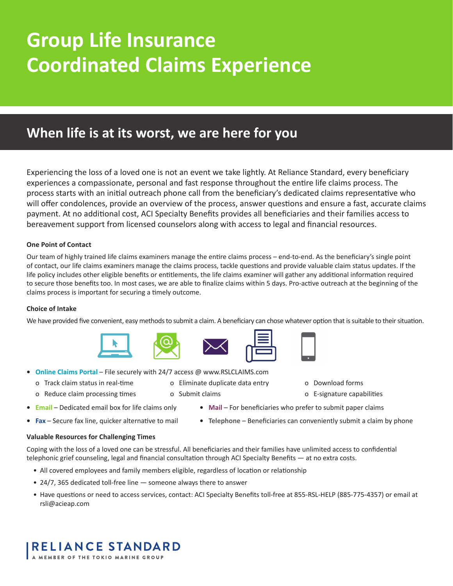# **Group Life Insurance Coordinated Claims Experience**

# **When life is at its worst, we are here for you**

Experiencing the loss of a loved one is not an event we take lightly. At Reliance Standard, every beneficiary experiences a compassionate, personal and fast response throughout the entire life claims process. The process starts with an initial outreach phone call from the beneficiary's dedicated claims representative who will offer condolences, provide an overview of the process, answer questions and ensure a fast, accurate claims payment. At no additional cost, ACI Specialty Benefits provides all beneficiaries and their families access to bereavement support from licensed counselors along with access to legal and financial resources.

#### **One Point of Contact**

Our team of highly trained life claims examiners manage the entire claims process – end-to-end. As the beneficiary's single point of contact, our life claims examiners manage the claims process, tackle questions and provide valuable claim status updates. If the life policy includes other eligible benefits or entitlements, the life claims examiner will gather any additional information required to secure those benefits too. In most cases, we are able to finalize claims within 5 days. Pro-active outreach at the beginning of the claims process is important for securing a timely outcome.

#### **Choice of Intake**

We have provided five convenient, easy methods to submit a claim. A beneficiary can chose whatever option that is suitable to their situation.









- **• Online Claims Portal** File securely with 24/7 access @ www.RSLCLAIMS.com
	- o Track claim status in real-time
	- o Reduce claim processing times
- o Eliminate duplicate data entry
- o Download forms
- o E-signature capabilities
- **• Email** Dedicated email box for life claims only **• Mail** For beneficiaries who prefer to submit paper claims
- o Submit claims
	-
- 
- **• Fax** Secure fax line, quicker alternative to mail **• Telephone** Beneficiaries can conveniently submit a claim by phone

#### **Valuable Resources for Challenging Times**

Coping with the loss of a loved one can be stressful. All beneficiaries and their families have unlimited access to confidential telephonic grief counseling, legal and financial consultation through ACI Specialty Benefits — at no extra costs.

- All covered employees and family members eligible, regardless of location or relationship
- 24/7, 365 dedicated toll-free line someone always there to answer
- Have questions or need to access services, contact: ACI Specialty Benefits toll-free at 855-RSL-HELP (885-775-4357) or email at rsli@acieap.com